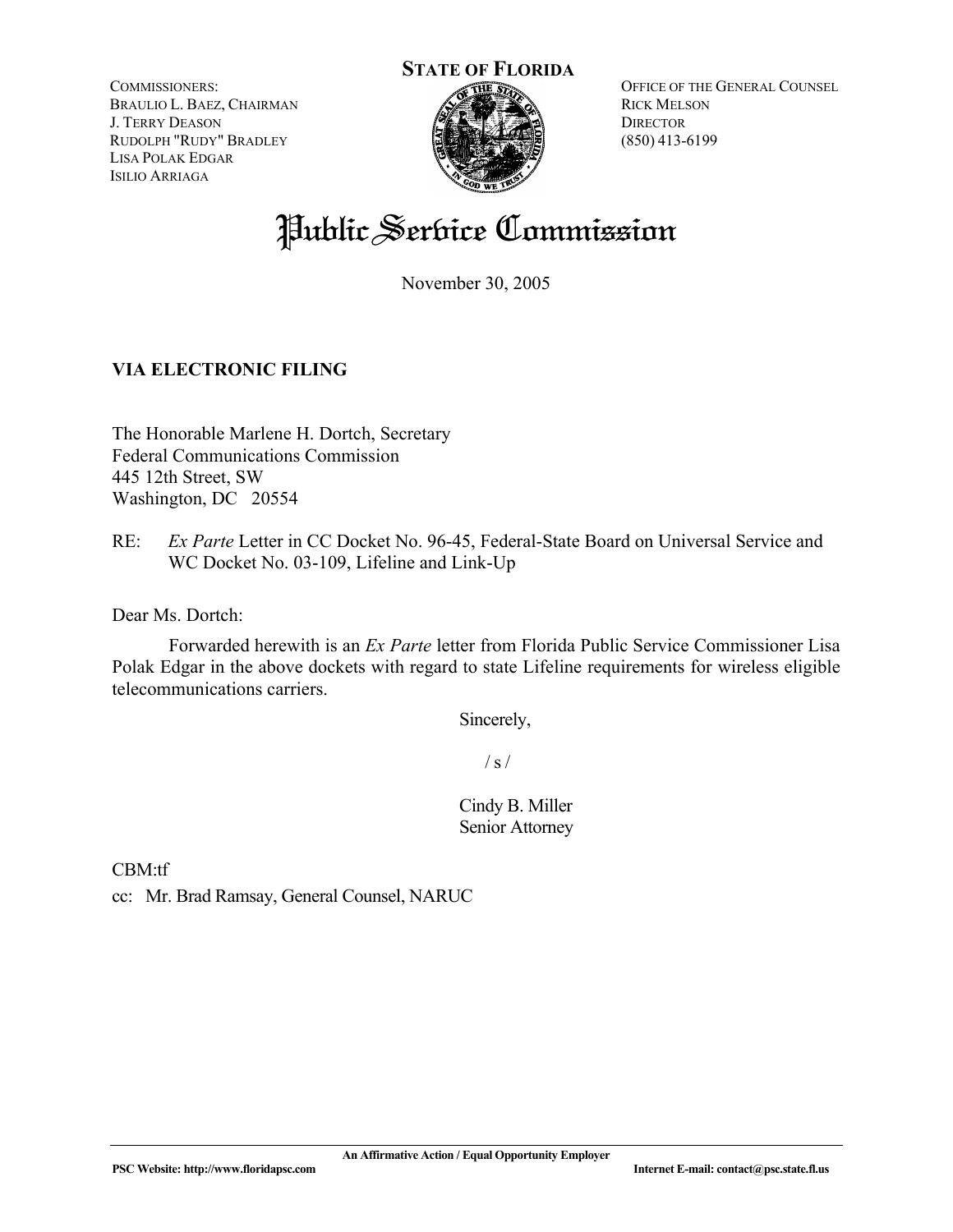COMMISSIONERS: BRAULIO L. BAEZ, CHAIRMAN J. TERRY DEASON RUDOLPH "RUDY" BRADLEY LISA POLAK EDGAR ISILIO ARRIAGA



OFFICE OF THE GENERAL COUNSEL RICK MELSON **DIRECTOR** (850) 413-6199

## Public Service Commission

November 30, 2005

## **VIA ELECTRONIC FILING**

The Honorable Marlene H. Dortch, Secretary Federal Communications Commission 445 12th Street, SW Washington, DC 20554

RE: *Ex Parte* Letter in CC Docket No. 96-45, Federal-State Board on Universal Service and WC Docket No. 03-109, Lifeline and Link-Up

Dear Ms. Dortch:

 Forwarded herewith is an *Ex Parte* letter from Florida Public Service Commissioner Lisa Polak Edgar in the above dockets with regard to state Lifeline requirements for wireless eligible telecommunications carriers.

Sincerely,

 $/ s /$ 

Cindy B. Miller Senior Attorney

CBM:tf cc: Mr. Brad Ramsay, General Counsel, NARUC